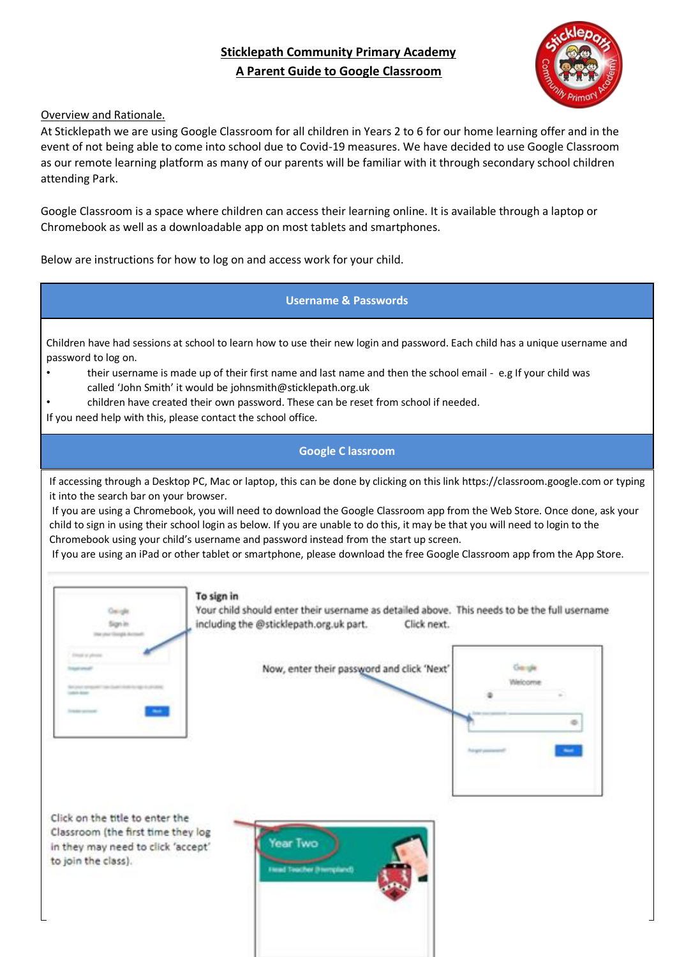# **Sticklepath Community Primary Academy A Parent Guide to Google Classroom**



#### Overview and Rationale.

At Sticklepath we are using Google Classroom for all children in Years 2 to 6 for our home learning offer and in the event of not being able to come into school due to Covid-19 measures. We have decided to use Google Classroom as our remote learning platform as many of our parents will be familiar with it through secondary school children attending Park.

Google Classroom is a space where children can access their learning online. It is available through a laptop or Chromebook as well as a downloadable app on most tablets and smartphones.

Below are instructions for how to log on and access work for your child.

**Username & Passwords** 

Children have had sessions at school to learn how to use their new login and password. Each child has a unique username and password to log on.

- their username is made up of their first name and last name and then the school email e.g If your child was called 'John Smith' it would be johnsmith@sticklepath.org.uk
- children have created their own password. These can be reset from school if needed.
- If you need help with this, please contact the school office.

## **Google C lassroom**

If accessing through a Desktop PC, Mac or laptop, this can be done by clicking on this link https://classroom.google.com or typing it into the search bar on your browser.

If you are using a Chromebook, you will need to download the Google Classroom app from the Web Store. Once done, ask your child to sign in using their school login as below. If you are unable to do this, it may be that you will need to login to the Chromebook using your child's username and password instead from the start up screen.

Now, enter their password and click 'Next'

If you are using an iPad or other tablet or smartphone, please download the free Google Classroom app from the App Store.



To sign in

Your child should enter their username as detailed above. This needs to be the full username including the @sticklepath.org.uk part. Click next.



Click on the title to enter the Classroom (the first time they log in they may need to click 'accept' to join the class).